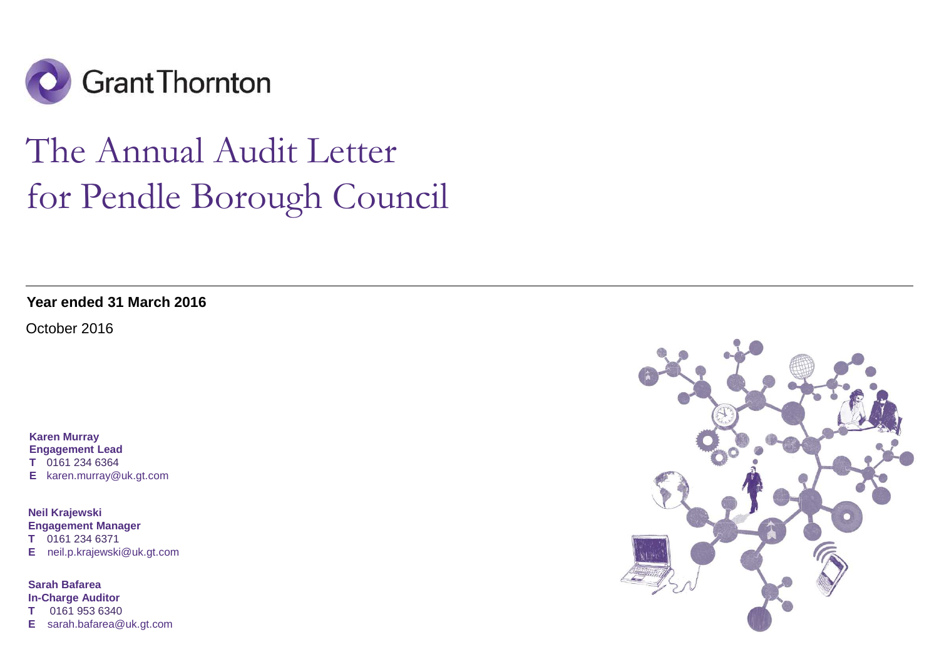

# The Annual Audit Letterfor Pendle Borough Council

**Year ended 31 March 2016**

October 2016

**Karen Murray Engagement Lead T** 0161 234 6364 **E** karen.murray@uk.gt.com

**Neil Krajewski Engagement ManagerT** 0161 234 6371 **E** neil.p.krajewski@uk.gt.com

**Sarah Bafarea In-Charge Auditor T** 0161 953 6340**E** sarah.bafarea@uk.gt.com

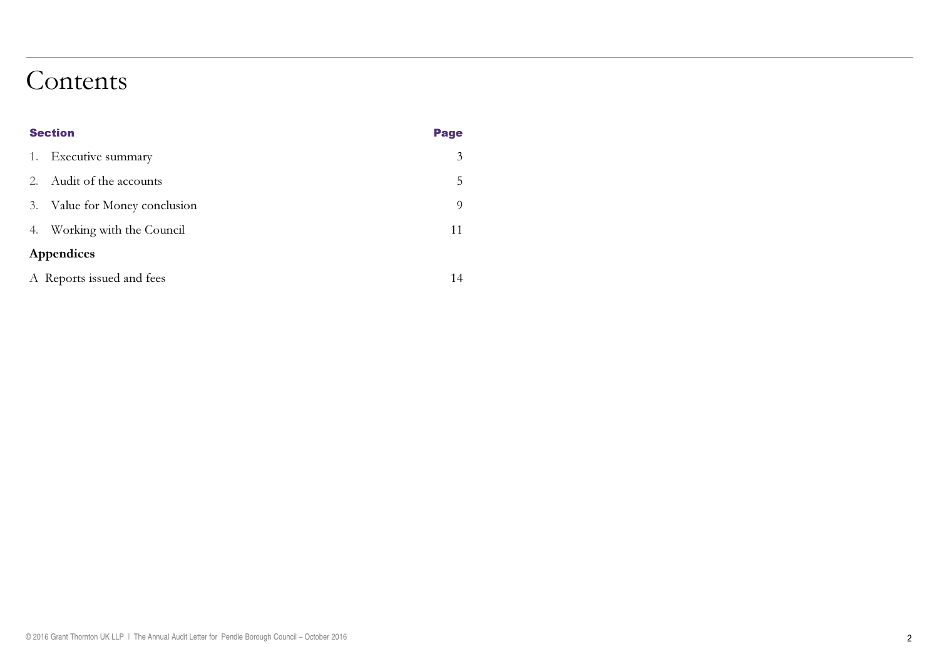# Contents

| <b>Section</b>                       | <b>Page</b> |  |
|--------------------------------------|-------------|--|
| Executive summary<br>1.              | 3           |  |
| Audit of the accounts<br>$2_{\cdot}$ | 5           |  |
| Value for Money conclusion<br>3.     | $\Omega$    |  |
| Working with the Council<br>4.       | 11          |  |
| Appendices                           |             |  |
| A Reports issued and fees            | 14          |  |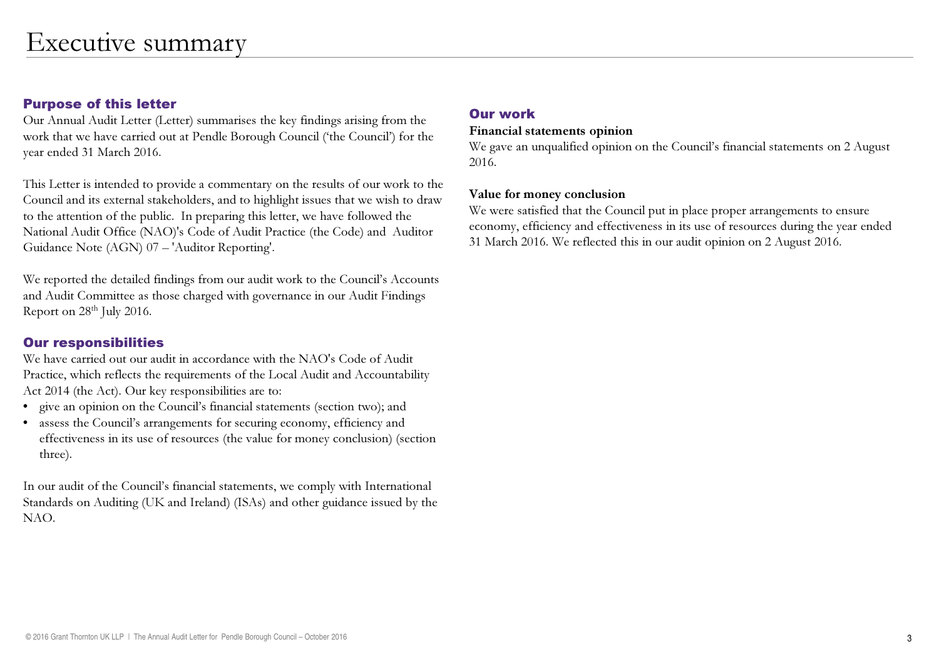# Purpose of this letter

 Our Annual Audit Letter (Letter) summarises the key findings arising from the work that we have carried out at Pendle Borough Council ('the Council') for theyear ended 31 March 2016.

This Letter is intended to provide a commentary on the results of our work to the Council and its external stakeholders, and to highlight issues that we wish to draw to the attention of the public. In preparing this letter, we have followed the National Audit Office (NAO)'s Code of Audit Practice (the Code) and Auditor Guidance Note (AGN) 07 – 'Auditor Reporting'.

We reported the detailed findings from our audit work to the Council's Accountsand Audit Committee as those charged with governance in our Audit Findings Report on 28th July 2016.

# Our responsibilities

 We have carried out our audit in accordance with the NAO's Code of Audit Practice, which reflects the requirements of the Local Audit and Accountability Act 2014 (the Act). Our key responsibilities are to:

- •give an opinion on the Council's financial statements (section two); and
- assess the Council's arrangements for securing economy, efficiency and• effectiveness in its use of resources (the value for money conclusion) (section three).

In our audit of the Council's financial statements, we comply with International Standards on Auditing (UK and Ireland) (ISAs) and other guidance issued by the NAO.

# Our work

#### Financial statements opinion

 We gave an unqualified opinion on the Council's financial statements on 2 August 2016.

#### Value for money conclusion

 We were satisfied that the Council put in place proper arrangements to ensure economy, efficiency and effectiveness in its use of resources during the year ended 31 March 2016. We reflected this in our audit opinion on 2 August 2016.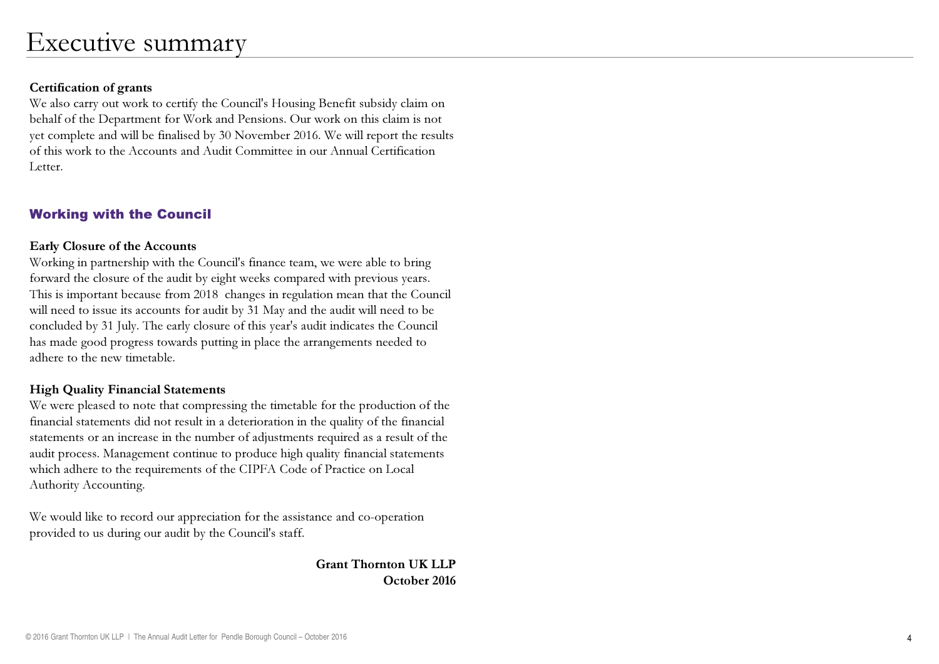#### Certification of grants

 We also carry out work to certify the Council's Housing Benefit subsidy claim on behalf of the Department for Work and Pensions. Our work on this claim is not yet complete and will be finalised by 30 November 2016. We will report the results of this work to the Accounts and Audit Committee in our Annual Certification Letter.

# Working with the Council

#### Early Closure of the Accounts

Working in partnership with the Council's finance team, we were able to bring forward the closure of the audit by eight weeks compared with previous years. This is important because from 2018 changes in regulation mean that the Council will need to issue its accounts for audit by 31 May and the audit will need to be concluded by 31 July. The early closure of this year's audit indicates the Council has made good progress towards putting in place the arrangements needed to adhere to the new timetable.

# High Quality Financial Statements

 We were pleased to note that compressing the timetable for the production of the financial statements did not result in a deterioration in the quality of the financial statements or an increase in the number of adjustments required as a result of the audit process. Management continue to produce high quality financial statements which adhere to the requirements of the CIPFA Code of Practice on Local Authority Accounting.

We would like to record our appreciation for the assistance and co-operationprovided to us during our audit by the Council's staff.

> Grant Thornton UK LLPOctober 2016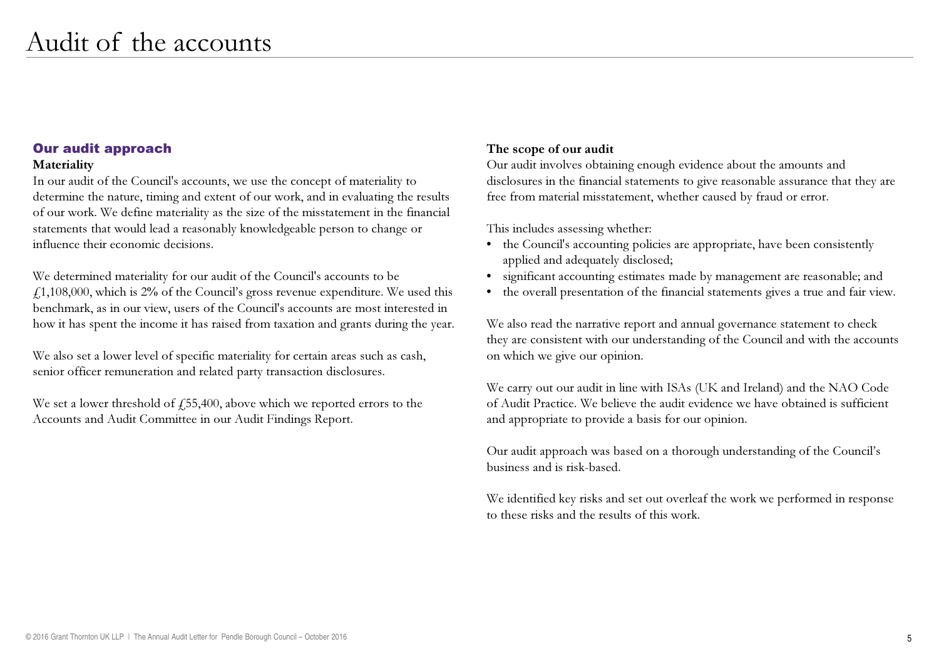#### Our audit approach

#### Materiality

 In our audit of the Council's accounts, we use the concept of materiality to determine the nature, timing and extent of our work, and in evaluating the results of our work. We define materiality as the size of the misstatement in the financial statements that would lead a reasonably knowledgeable person to change or influence their economic decisions.

We determined materiality for our audit of the Council's accounts to be  $f1,108,000$ , which is 2% of the Council's gross revenue expenditure. We used this benchmark, as in our view, users of the Council's accounts are most interested in how it has spent the income it has raised from taxation and grants during the year.

We also set a lower level of specific materiality for certain areas such as cash, senior officer remuneration and related party transaction disclosures.

We set a lower threshold of  $f$ , 55,400, above which we reported errors to the Accounts and Audit Committee in our Audit Findings Report.

#### The scope of our audit

 Our audit involves obtaining enough evidence about the amounts and disclosures in the financial statements to give reasonable assurance that they are free from material misstatement, whether caused by fraud or error.

This includes assessing whether:

- the Council's accounting policies are appropriate, have been consistently applied and adequately disclosed;
- •significant accounting estimates made by management are reasonable; and
- the overall presentation of the financial statements gives a true and fair view.

We also read the narrative report and annual governance statement to check they are consistent with our understanding of the Council and with the accounts on which we give our opinion.

We carry out our audit in line with ISAs (UK and Ireland) and the NAO Code of Audit Practice. We believe the audit evidence we have obtained is sufficient and appropriate to provide a basis for our opinion.

Our audit approach was based on a thorough understanding of the Council's business and is risk-based.

We identified key risks and set out overleaf the work we performed in response to these risks and the results of this work.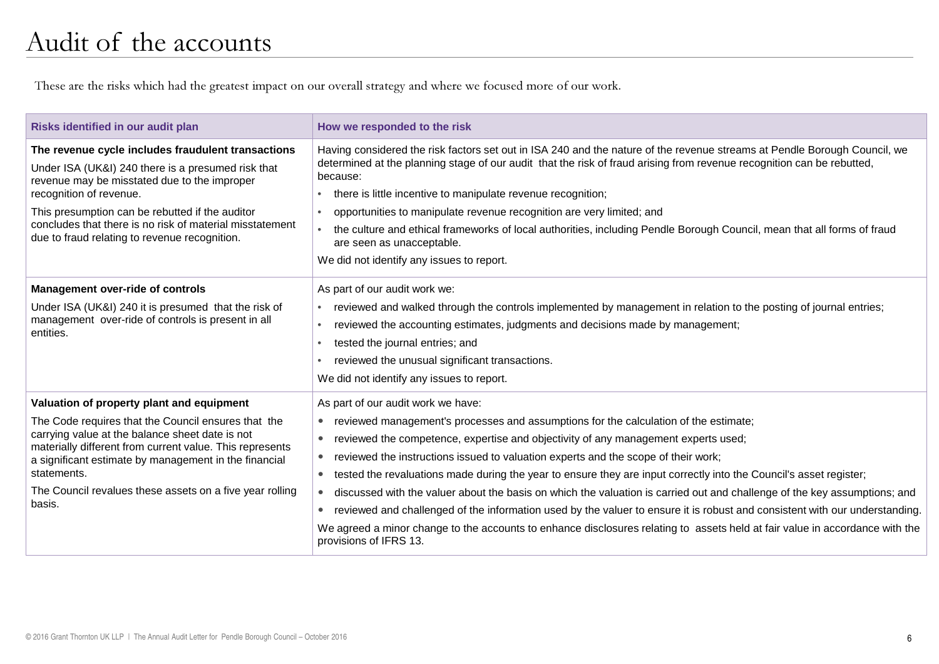These are the risks which had the greatest impact on our overall strategy and where we focused more of our work.

| Risks identified in our audit plan                                                                                                                                                                                                                                                                                                                            | How we responded to the risk                                                                                                                                                                                                                                                                                                                                                                                                                                                                                                                                                                                                                                                                                                                                                                                                                                                                                                     |
|---------------------------------------------------------------------------------------------------------------------------------------------------------------------------------------------------------------------------------------------------------------------------------------------------------------------------------------------------------------|----------------------------------------------------------------------------------------------------------------------------------------------------------------------------------------------------------------------------------------------------------------------------------------------------------------------------------------------------------------------------------------------------------------------------------------------------------------------------------------------------------------------------------------------------------------------------------------------------------------------------------------------------------------------------------------------------------------------------------------------------------------------------------------------------------------------------------------------------------------------------------------------------------------------------------|
| The revenue cycle includes fraudulent transactions<br>Under ISA (UK&I) 240 there is a presumed risk that<br>revenue may be misstated due to the improper<br>recognition of revenue.<br>This presumption can be rebutted if the auditor<br>concludes that there is no risk of material misstatement<br>due to fraud relating to revenue recognition.           | Having considered the risk factors set out in ISA 240 and the nature of the revenue streams at Pendle Borough Council, we<br>determined at the planning stage of our audit that the risk of fraud arising from revenue recognition can be rebutted,<br>because:<br>there is little incentive to manipulate revenue recognition;<br>$\bullet$<br>opportunities to manipulate revenue recognition are very limited; and<br>$\bullet$<br>the culture and ethical frameworks of local authorities, including Pendle Borough Council, mean that all forms of fraud<br>$\bullet$<br>are seen as unacceptable.<br>We did not identify any issues to report.                                                                                                                                                                                                                                                                             |
| <b>Management over-ride of controls</b><br>Under ISA (UK&I) 240 it is presumed that the risk of<br>management over-ride of controls is present in all<br>entities.                                                                                                                                                                                            | As part of our audit work we:<br>reviewed and walked through the controls implemented by management in relation to the posting of journal entries;<br>$\bullet$<br>reviewed the accounting estimates, judgments and decisions made by management;<br>$\bullet$<br>tested the journal entries; and<br>$\bullet$<br>reviewed the unusual significant transactions.<br>We did not identify any issues to report.                                                                                                                                                                                                                                                                                                                                                                                                                                                                                                                    |
| Valuation of property plant and equipment<br>The Code requires that the Council ensures that the<br>carrying value at the balance sheet date is not<br>materially different from current value. This represents<br>a significant estimate by management in the financial<br>statements.<br>The Council revalues these assets on a five year rolling<br>basis. | As part of our audit work we have:<br>reviewed management's processes and assumptions for the calculation of the estimate;<br>$\bullet$<br>reviewed the competence, expertise and objectivity of any management experts used;<br>$\bullet$<br>reviewed the instructions issued to valuation experts and the scope of their work;<br>$\bullet$<br>tested the revaluations made during the year to ensure they are input correctly into the Council's asset register;<br>$\bullet$<br>discussed with the valuer about the basis on which the valuation is carried out and challenge of the key assumptions; and<br>$\bullet$<br>reviewed and challenged of the information used by the valuer to ensure it is robust and consistent with our understanding.<br>$\bullet$<br>We agreed a minor change to the accounts to enhance disclosures relating to assets held at fair value in accordance with the<br>provisions of IFRS 13. |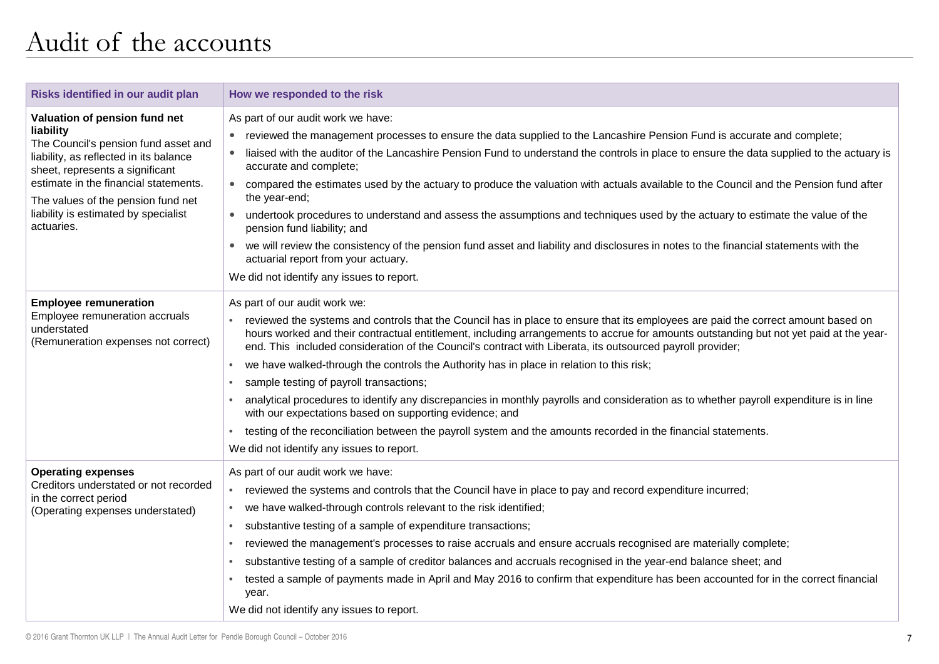# Audit of the accounts

| Risks identified in our audit plan                                                                                                                                                                                                                                                                   | How we responded to the risk                                                                                                                                                                                                                                                                                                                                                                                                                                                                                                                                                                                                                                                                                                                                                                                                                                                                                                                                    |
|------------------------------------------------------------------------------------------------------------------------------------------------------------------------------------------------------------------------------------------------------------------------------------------------------|-----------------------------------------------------------------------------------------------------------------------------------------------------------------------------------------------------------------------------------------------------------------------------------------------------------------------------------------------------------------------------------------------------------------------------------------------------------------------------------------------------------------------------------------------------------------------------------------------------------------------------------------------------------------------------------------------------------------------------------------------------------------------------------------------------------------------------------------------------------------------------------------------------------------------------------------------------------------|
| Valuation of pension fund net<br>liability<br>The Council's pension fund asset and<br>liability, as reflected in its balance<br>sheet, represents a significant<br>estimate in the financial statements.<br>The values of the pension fund net<br>liability is estimated by specialist<br>actuaries. | As part of our audit work we have:<br>reviewed the management processes to ensure the data supplied to the Lancashire Pension Fund is accurate and complete;<br>liaised with the auditor of the Lancashire Pension Fund to understand the controls in place to ensure the data supplied to the actuary is<br>accurate and complete;<br>compared the estimates used by the actuary to produce the valuation with actuals available to the Council and the Pension fund after<br>the year-end;<br>undertook procedures to understand and assess the assumptions and techniques used by the actuary to estimate the value of the<br>pension fund liability; and<br>we will review the consistency of the pension fund asset and liability and disclosures in notes to the financial statements with the<br>$\bullet$<br>actuarial report from your actuary.<br>We did not identify any issues to report.                                                           |
| <b>Employee remuneration</b><br>Employee remuneration accruals<br>understated<br>(Remuneration expenses not correct)                                                                                                                                                                                 | As part of our audit work we:<br>reviewed the systems and controls that the Council has in place to ensure that its employees are paid the correct amount based on<br>hours worked and their contractual entitlement, including arrangements to accrue for amounts outstanding but not yet paid at the year-<br>end. This included consideration of the Council's contract with Liberata, its outsourced payroll provider;<br>we have walked-through the controls the Authority has in place in relation to this risk;<br>$\bullet$<br>sample testing of payroll transactions;<br>analytical procedures to identify any discrepancies in monthly payrolls and consideration as to whether payroll expenditure is in line<br>with our expectations based on supporting evidence; and<br>testing of the reconciliation between the payroll system and the amounts recorded in the financial statements.<br>$\bullet$<br>We did not identify any issues to report. |
| <b>Operating expenses</b><br>Creditors understated or not recorded<br>in the correct period<br>(Operating expenses understated)                                                                                                                                                                      | As part of our audit work we have:<br>reviewed the systems and controls that the Council have in place to pay and record expenditure incurred;<br>$\bullet$<br>we have walked-through controls relevant to the risk identified;<br>substantive testing of a sample of expenditure transactions;<br>$\bullet$<br>reviewed the management's processes to raise accruals and ensure accruals recognised are materially complete;<br>$\bullet$<br>substantive testing of a sample of creditor balances and accruals recognised in the year-end balance sheet; and<br>$\bullet$<br>tested a sample of payments made in April and May 2016 to confirm that expenditure has been accounted for in the correct financial<br>year.<br>We did not identify any issues to report.                                                                                                                                                                                          |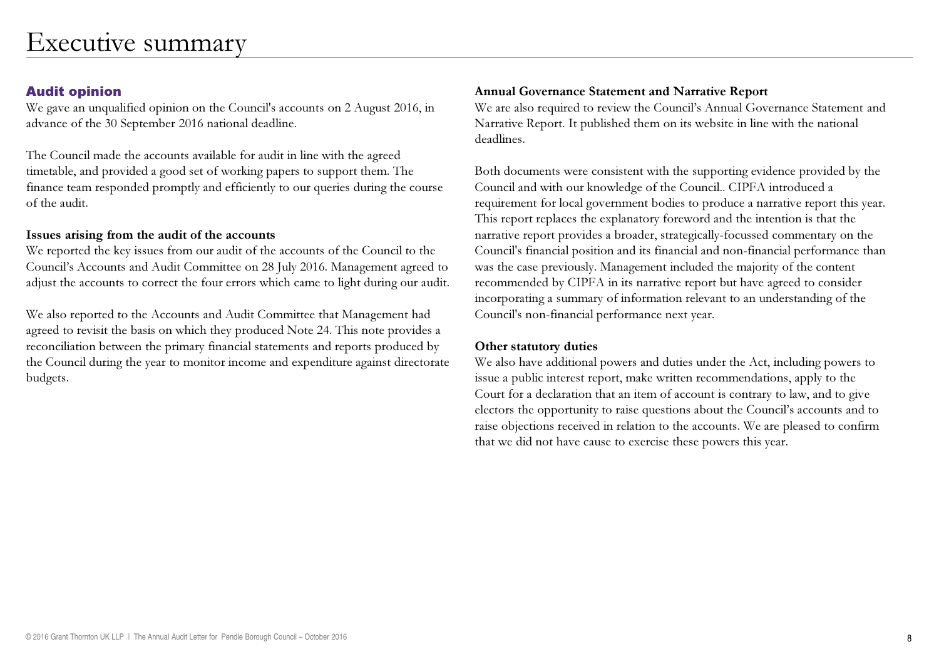# Audit opinion

 We gave an unqualified opinion on the Council's accounts on 2 August 2016, in advance of the 30 September 2016 national deadline.

The Council made the accounts available for audit in line with the agreed timetable, and provided a good set of working papers to support them. The finance team responded promptly and efficiently to our queries during the course of the audit.

# Issues arising from the audit of the accounts

 We reported the key issues from our audit of the accounts of the Council to the Council's Accounts and Audit Committee on 28 July 2016. Management agreed to adjust the accounts to correct the four errors which came to light during our audit.

We also reported to the Accounts and Audit Committee that Management had agreed to revisit the basis on which they produced Note 24. This note provides a reconciliation between the primary financial statements and reports produced by the Council during the year to monitor income and expenditure against directorate budgets.

# Annual Governance Statement and Narrative Report

 We are also required to review the Council's Annual Governance Statement and Narrative Report. It published them on its website in line with the national deadlines.

Both documents were consistent with the supporting evidence provided by the Council and with our knowledge of the Council.. CIPFA introduced a requirement for local government bodies to produce a narrative report this year. This report replaces the explanatory foreword and the intention is that the narrative report provides a broader, strategically-focussed commentary on the Council's financial position and its financial and non-financial performance than was the case previously. Management included the majority of the content recommended by CIPFA in its narrative report but have agreed to consider incorporating a summary of information relevant to an understanding of the Council's non-financial performance next year.

# Other statutory duties

We also have additional powers and duties under the Act, including powers to issue a public interest report, make written recommendations, apply to the Court for a declaration that an item of account is contrary to law, and to give electors the opportunity to raise questions about the Council's accounts and to raise objections received in relation to the accounts. We are pleased to confirm that we did not have cause to exercise these powers this year.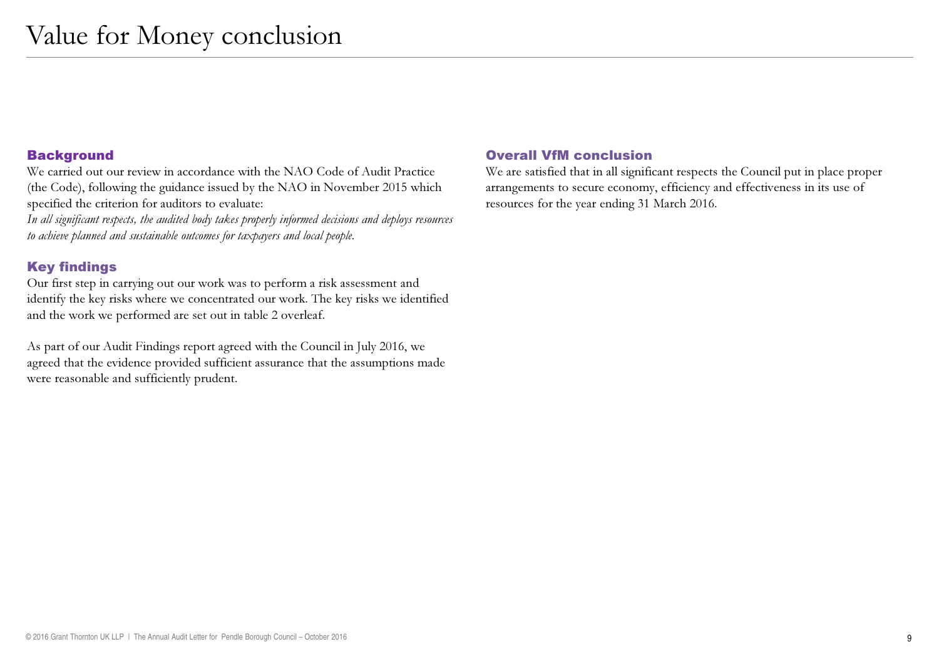#### **Background**

 We carried out our review in accordance with the NAO Code of Audit Practice (the Code), following the guidance issued by the NAO in November 2015 which specified the criterion for auditors to evaluate:

In all significant respects, the audited body takes properly informed decisions and deploys resources to achieve planned and sustainable outcomes for taxpayers and local people.

# Key findings

 Our first step in carrying out our work was to perform a risk assessment and identify the key risks where we concentrated our work. The key risks we identified and the work we performed are set out in table 2 overleaf.

As part of our Audit Findings report agreed with the Council in July 2016, we agreed that the evidence provided sufficient assurance that the assumptions made were reasonable and sufficiently prudent.

# Overall VfM conclusion

 We are satisfied that in all significant respects the Council put in place proper arrangements to secure economy, efficiency and effectiveness in its use of resources for the year ending 31 March 2016.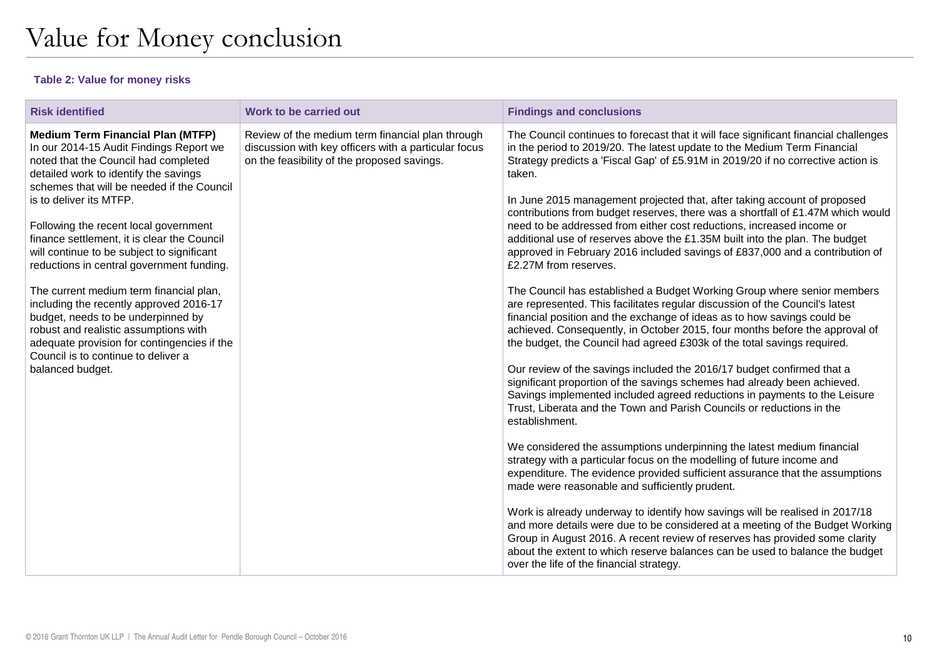#### **Table 2: Value for money risks**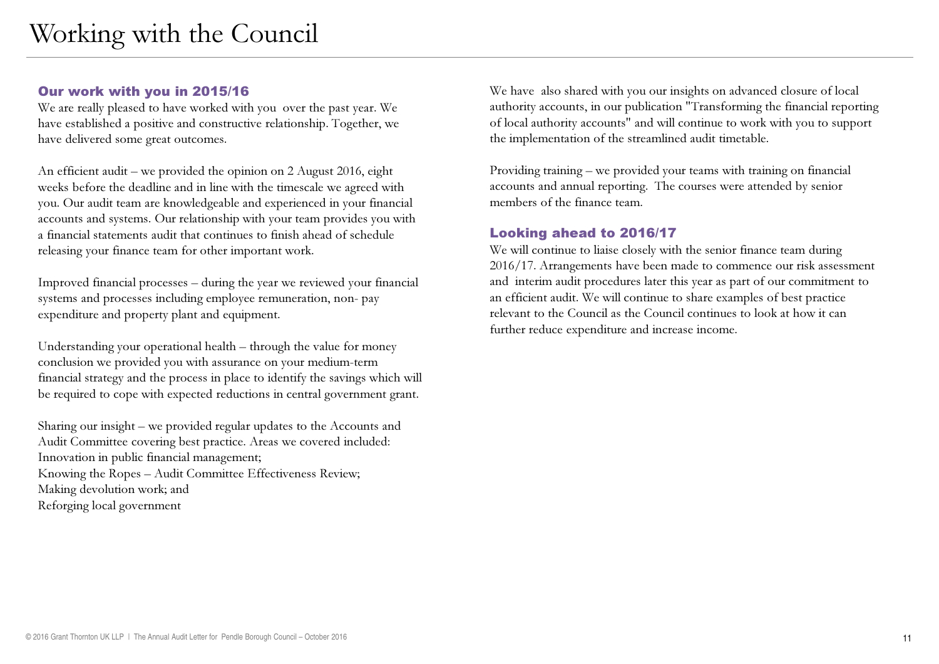# Our work with you in 2015/16

 We are really pleased to have worked with you over the past year. We have established a positive and constructive relationship. Together, we have delivered some great outcomes.

An efficient audit – we provided the opinion on 2 August 2016, eight weeks before the deadline and in line with the timescale we agreed with you. Our audit team are knowledgeable and experienced in your financial accounts and systems. Our relationship with your team provides you with a financial statements audit that continues to finish ahead of schedule releasing your finance team for other important work.

Improved financial processes – during the year we reviewed your financial systems and processes including employee remuneration, non- pay expenditure and property plant and equipment.

Understanding your operational health – through the value for money conclusion we provided you with assurance on your medium-term financial strategy and the process in place to identify the savings which will be required to cope with expected reductions in central government grant.

Sharing our insight – we provided regular updates to the Accounts and Audit Committee covering best practice. Areas we covered included: Innovation in public financial management; Knowing the Ropes – Audit Committee Effectiveness Review; Making devolution work; andReforging local government

We have also shared with you our insights on advanced closure of local authority accounts, in our publication "Transforming the financial reporting of local authority accounts" and will continue to work with you to support the implementation of the streamlined audit timetable.

Providing training – we provided your teams with training on financial accounts and annual reporting. The courses were attended by senior members of the finance team.

#### Looking ahead to 2016/17

 We will continue to liaise closely with the senior finance team during 2016/17. Arrangements have been made to commence our risk assessment and interim audit procedures later this year as part of our commitment to an efficient audit. We will continue to share examples of best practice relevant to the Council as the Council continues to look at how it can further reduce expenditure and increase income.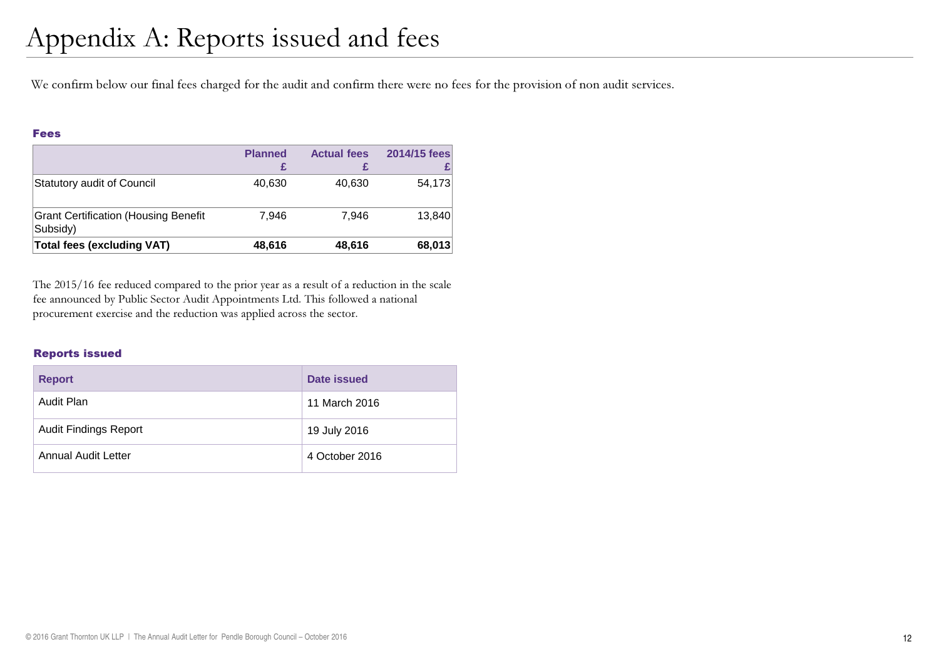We confirm below our final fees charged for the audit and confirm there were no fees for the provision of non audit services.

#### Fees

|                                                         | <b>Planned</b> | <b>Actual fees</b> | 2014/15 fees |
|---------------------------------------------------------|----------------|--------------------|--------------|
| Statutory audit of Council                              | 40,630         | 40,630             | 54,173       |
| <b>Grant Certification (Housing Benefit</b><br>Subsidy) | 7.946          | 7.946              | 13,840       |
| <b>Total fees (excluding VAT)</b>                       | 48,616         | 48,616             | 68,013       |

The 2015/16 fee reduced compared to the prior year as a result of a reduction in the scale fee announced by Public Sector Audit Appointments Ltd. This followed a national procurement exercise and the reduction was applied across the sector.

#### Reports issued

| <b>Report</b>                | Date issued    |
|------------------------------|----------------|
| Audit Plan                   | 11 March 2016  |
| <b>Audit Findings Report</b> | 19 July 2016   |
| Annual Audit Letter          | 4 October 2016 |